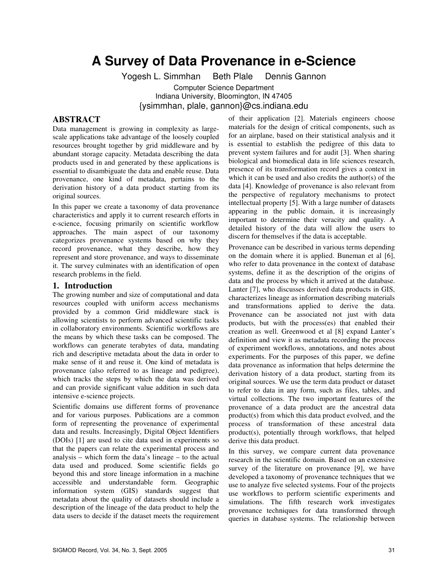# **A Survey of Data Provenance in e-Science**

Yogesh L. Simmhan Beth Plale Dennis Gannon

Computer Science Department Indiana University, Bloomington, IN 47405

{ysimmhan, plale, gannon}@cs.indiana.edu

#### **ABSTRACT**

Data management is growing in complexity as largescale applications take advantage of the loosely coupled resources brought together by grid middleware and by abundant storage capacity. Metadata describing the data products used in and generated by these applications is essential to disambiguate the data and enable reuse. Data provenance, one kind of metadata, pertains to the derivation history of a data product starting from its original sources.

In this paper we create a taxonomy of data provenance characteristics and apply it to current research efforts in e-science, focusing primarily on scientific workflow approaches. The main aspect of our taxonomy categorizes provenance systems based on why they record provenance, what they describe, how they represent and store provenance, and ways to disseminate it. The survey culminates with an identification of open research problems in the field.

#### **1. Introduction**

The growing number and size of computational and data resources coupled with uniform access mechanisms provided by a common Grid middleware stack is allowing scientists to perform advanced scientific tasks in collaboratory environments. Scientific workflows are the means by which these tasks can be composed. The workflows can generate terabytes of data, mandating rich and descriptive metadata about the data in order to make sense of it and reuse it. One kind of metadata is provenance (also referred to as lineage and pedigree), which tracks the steps by which the data was derived and can provide significant value addition in such data intensive e-science projects.

Scientific domains use different forms of provenance and for various purposes. Publications are a common form of representing the provenance of experimental data and results. Increasingly, Digital Object Identifiers (DOIs) [1] are used to cite data used in experiments so that the papers can relate the experimental process and analysis – which form the data's lineage – to the actual data used and produced. Some scientific fields go beyond this and store lineage information in a machine accessible and understandable form. Geographic information system (GIS) standards suggest that metadata about the quality of datasets should include a description of the lineage of the data product to help the data users to decide if the dataset meets the requirement of their application [2]. Materials engineers choose materials for the design of critical components, such as for an airplane, based on their statistical analysis and it is essential to establish the pedigree of this data to prevent system failures and for audit [3]. When sharing biological and biomedical data in life sciences research, presence of its transformation record gives a context in which it can be used and also credits the author(s) of the data [4]. Knowledge of provenance is also relevant from the perspective of regulatory mechanisms to protect intellectual property [5]. With a large number of datasets appearing in the public domain, it is increasingly important to determine their veracity and quality. A detailed history of the data will allow the users to discern for themselves if the data is acceptable.

Provenance can be described in various terms depending on the domain where it is applied. Buneman et al [6], who refer to data provenance in the context of database systems, define it as the description of the origins of data and the process by which it arrived at the database. Lanter [7], who discusses derived data products in GIS, characterizes lineage as information describing materials and transformations applied to derive the data. Provenance can be associated not just with data products, but with the process(es) that enabled their creation as well. Greenwood et al [8] expand Lanter's definition and view it as metadata recording the process of experiment workflows, annotations, and notes about experiments. For the purposes of this paper, we define data provenance as information that helps determine the derivation history of a data product, starting from its original sources. We use the term data product or dataset to refer to data in any form, such as files, tables, and virtual collections. The two important features of the provenance of a data product are the ancestral data product(s) from which this data product evolved, and the process of transformation of these ancestral data product(s), potentially through workflows, that helped derive this data product.

In this survey, we compare current data provenance research in the scientific domain. Based on an extensive survey of the literature on provenance [9], we have developed a taxonomy of provenance techniques that we use to analyze five selected systems. Four of the projects use workflows to perform scientific experiments and simulations. The fifth research work investigates provenance techniques for data transformed through queries in database systems. The relationship between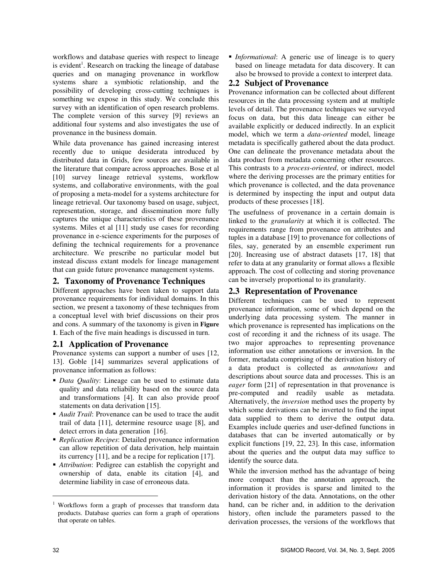workflows and database queries with respect to lineage is evident<sup>1</sup>. Research on tracking the lineage of database queries and on managing provenance in workflow systems share a symbiotic relationship, and the possibility of developing cross-cutting techniques is something we expose in this study. We conclude this survey with an identification of open research problems. The complete version of this survey [9] reviews an additional four systems and also investigates the use of provenance in the business domain.

While data provenance has gained increasing interest recently due to unique desiderata introduced by distributed data in Grids, few sources are available in the literature that compare across approaches. Bose et al [10] survey lineage retrieval systems, workflow systems, and collaborative environments, with the goal of proposing a meta-model for a systems architecture for lineage retrieval. Our taxonomy based on usage, subject, representation, storage, and dissemination more fully captures the unique characteristics of these provenance systems. Miles et al [11] study use cases for recording provenance in e-science experiments for the purposes of defining the technical requirements for a provenance architecture. We prescribe no particular model but instead discuss extant models for lineage management that can guide future provenance management systems.

## **2. Taxonomy of Provenance Techniques**

Different approaches have been taken to support data provenance requirements for individual domains. In this section, we present a taxonomy of these techniques from a conceptual level with brief discussions on their pros and cons. A summary of the taxonomy is given in **Figure 1**. Each of the five main headings is discussed in turn.

## **2.1 Application of Provenance**

Provenance systems can support a number of uses [12, 13]. Goble [14] summarizes several applications of provenance information as follows:

- *Data Quality*: Lineage can be used to estimate data quality and data reliability based on the source data and transformations [4]. It can also provide proof statements on data derivation [15].
- *Audit Trail*: Provenance can be used to trace the audit trail of data [11], determine resource usage [8], and detect errors in data generation [16].
- *Replication Recipes*: Detailed provenance information can allow repetition of data derivation, help maintain its currency [11], and be a recipe for replication [17].
- *Attribution*: Pedigree can establish the copyright and ownership of data, enable its citation [4], and determine liability in case of erroneous data.

 *Informational*: A generic use of lineage is to query based on lineage metadata for data discovery. It can also be browsed to provide a context to interpret data.

## **2.2 Subject of Provenance**

Provenance information can be collected about different resources in the data processing system and at multiple levels of detail. The provenance techniques we surveyed focus on data, but this data lineage can either be available explicitly or deduced indirectly. In an explicit model, which we term a *data-oriented* model, lineage metadata is specifically gathered about the data product. One can delineate the provenance metadata about the data product from metadata concerning other resources. This contrasts to a *process-oriented*, or indirect, model where the deriving processes are the primary entities for which provenance is collected, and the data provenance is determined by inspecting the input and output data products of these processes [18].

The usefulness of provenance in a certain domain is linked to the *granularity* at which it is collected. The requirements range from provenance on attributes and tuples in a database [19] to provenance for collections of files, say, generated by an ensemble experiment run [20]. Increasing use of abstract datasets [17, 18] that refer to data at any granularity or format allows a flexible approach. The cost of collecting and storing provenance can be inversely proportional to its granularity.

# **2.3 Representation of Provenance**

Different techniques can be used to represent provenance information, some of which depend on the underlying data processing system. The manner in which provenance is represented has implications on the cost of recording it and the richness of its usage. The two major approaches to representing provenance information use either annotations or inversion. In the former, metadata comprising of the derivation history of a data product is collected as *annotations* and descriptions about source data and processes. This is an *eager* form [21] of representation in that provenance is pre-computed and readily usable as metadata. Alternatively, the *inversion* method uses the property by which some derivations can be inverted to find the input data supplied to them to derive the output data. Examples include queries and user-defined functions in databases that can be inverted automatically or by explicit functions [19, 22, 23]. In this case, information about the queries and the output data may suffice to identify the source data.

While the inversion method has the advantage of being more compact than the annotation approach, the information it provides is sparse and limited to the derivation history of the data. Annotations, on the other hand, can be richer and, in addition to the derivation history, often include the parameters passed to the derivation processes, the versions of the workflows that

<sup>&</sup>lt;sup>1</sup> Workflows form a graph of processes that transform data products. Database queries can form a graph of operations that operate on tables.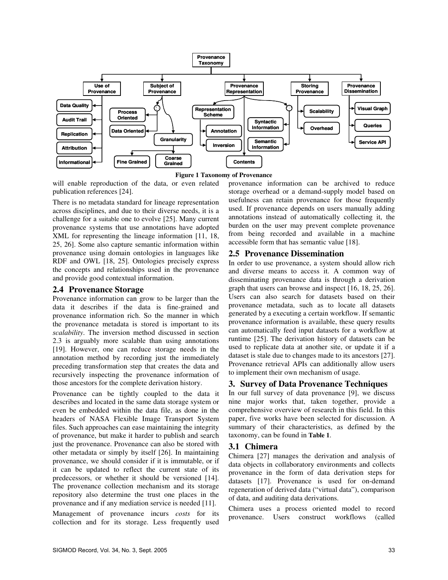

**Figure 1 Taxonomy of Provenance**

will enable reproduction of the data, or even related publication references [24].

There is no metadata standard for lineage representation across disciplines, and due to their diverse needs, it is a challenge for a suitable one to evolve [25]. Many current provenance systems that use annotations have adopted XML for representing the lineage information [11, 18, 25, 26]. Some also capture semantic information within provenance using domain ontologies in languages like RDF and OWL [18, 25]. Ontologies precisely express the concepts and relationships used in the provenance and provide good contextual information.

#### **2.4 Provenance Storage**

Provenance information can grow to be larger than the data it describes if the data is fine-grained and provenance information rich. So the manner in which the provenance metadata is stored is important to its *scalability*. The inversion method discussed in section 2.3 is arguably more scalable than using annotations [19]. However, one can reduce storage needs in the annotation method by recording just the immediately preceding transformation step that creates the data and recursively inspecting the provenance information of those ancestors for the complete derivation history.

Provenance can be tightly coupled to the data it describes and located in the same data storage system or even be embedded within the data file, as done in the headers of NASA Flexible Image Transport System files. Such approaches can ease maintaining the integrity of provenance, but make it harder to publish and search just the provenance. Provenance can also be stored with other metadata or simply by itself [26]. In maintaining provenance, we should consider if it is immutable, or if it can be updated to reflect the current state of its predecessors, or whether it should be versioned [14]. The provenance collection mechanism and its storage repository also determine the trust one places in the provenance and if any mediation service is needed [11].

Management of provenance incurs *costs* for its collection and for its storage. Less frequently used provenance information can be archived to reduce storage overhead or a demand-supply model based on usefulness can retain provenance for those frequently used. If provenance depends on users manually adding annotations instead of automatically collecting it, the burden on the user may prevent complete provenance from being recorded and available in a machine accessible form that has semantic value [18].

## **2.5 Provenance Dissemination**

In order to use provenance, a system should allow rich and diverse means to access it. A common way of disseminating provenance data is through a derivation graph that users can browse and inspect [16, 18, 25, 26]. Users can also search for datasets based on their provenance metadata, such as to locate all datasets generated by a executing a certain workflow. If semantic provenance information is available, these query results can automatically feed input datasets for a workflow at runtime [25]. The derivation history of datasets can be used to replicate data at another site, or update it if a dataset is stale due to changes made to its ancestors [27]. Provenance retrieval APIs can additionally allow users to implement their own mechanism of usage.

## **3. Survey of Data Provenance Techniques**

In our full survey of data provenance [9], we discuss nine major works that, taken together, provide a comprehensive overview of research in this field. In this paper, five works have been selected for discussion. A summary of their characteristics, as defined by the taxonomy, can be found in **Table 1**.

## **3.1 Chimera**

Chimera [27] manages the derivation and analysis of data objects in collaboratory environments and collects provenance in the form of data derivation steps for datasets [17]. Provenance is used for on-demand regeneration of derived data ("virtual data"), comparison of data, and auditing data derivations.

Chimera uses a process oriented model to record provenance. Users construct workflows (called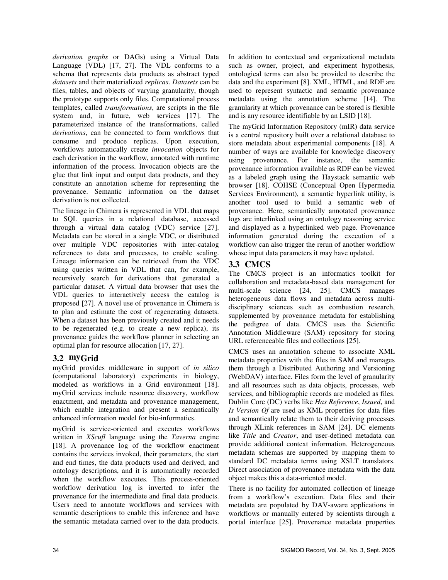*derivation graphs* or DAGs) using a Virtual Data Language (VDL)  $[17, 27]$ . The VDL conforms to a schema that represents data products as abstract typed *datasets* and their materialized *replicas*. *Datasets* can be files, tables, and objects of varying granularity, though the prototype supports only files. Computational process templates, called *transformations*, are scripts in the file system and, in future, web services [17]. The parameterized instance of the transformations, called *derivations*, can be connected to form workflows that consume and produce replicas. Upon execution, workflows automatically create *invocation* objects for each derivation in the workflow, annotated with runtime information of the process. Invocation objects are the glue that link input and output data products, and they constitute an annotation scheme for representing the provenance. Semantic information on the dataset derivation is not collected.

The lineage in Chimera is represented in VDL that maps to SQL queries in a relational database, accessed through a virtual data catalog (VDC) service [27]. Metadata can be stored in a single VDC, or distributed over multiple VDC repositories with inter-catalog references to data and processes, to enable scaling. Lineage information can be retrieved from the VDC using queries written in VDL that can, for example, recursively search for derivations that generated a particular dataset. A virtual data browser that uses the VDL queries to interactively access the catalog is proposed [27]. A novel use of provenance in Chimera is to plan and estimate the cost of regenerating datasets. When a dataset has been previously created and it needs to be regenerated (e.g. to create a new replica), its provenance guides the workflow planner in selecting an optimal plan for resource allocation [17, 27].

## **3.2 myGrid**

myGrid provides middleware in support of *in silico* (computational laboratory) experiments in biology, modeled as workflows in a Grid environment [18]. myGrid services include resource discovery, workflow enactment, and metadata and provenance management, which enable integration and present a semantically enhanced information model for bio-informatics.

myGrid is service-oriented and executes workflows written in *XScufl* language using the *Taverna* engine [18]. A provenance log of the workflow enactment contains the services invoked, their parameters, the start and end times, the data products used and derived, and ontology descriptions, and it is automatically recorded when the workflow executes. This process-oriented workflow derivation log is inverted to infer the provenance for the intermediate and final data products. Users need to annotate workflows and services with semantic descriptions to enable this inference and have the semantic metadata carried over to the data products. In addition to contextual and organizational metadata such as owner, project, and experiment hypothesis, ontological terms can also be provided to describe the data and the experiment [8]. XML, HTML, and RDF are used to represent syntactic and semantic provenance metadata using the annotation scheme [14]. The granularity at which provenance can be stored is flexible and is any resource identifiable by an LSID [18].

The myGrid Information Repository (mIR) data service is a central repository built over a relational database to store metadata about experimental components [18]. A number of ways are available for knowledge discovery using provenance. For instance, the semantic provenance information available as RDF can be viewed as a labeled graph using the Haystack semantic web browser [18]. COHSE (Conceptual Open Hypermedia Services Environment), a semantic hyperlink utility, is another tool used to build a semantic web of provenance. Here, semantically annotated provenance logs are interlinked using an ontology reasoning service and displayed as a hyperlinked web page. Provenance information generated during the execution of a workflow can also trigger the rerun of another workflow whose input data parameters it may have updated.

# **3.3 CMCS**

The CMCS project is an informatics toolkit for collaboration and metadata-based data management for multi-scale science [24, 25]. CMCS manages heterogeneous data flows and metadata across multidisciplinary sciences such as combustion research, supplemented by provenance metadata for establishing the pedigree of data. CMCS uses the Scientific Annotation Middleware (SAM) repository for storing URL referenceable files and collections [25].

CMCS uses an annotation scheme to associate XML metadata properties with the files in SAM and manages them through a Distributed Authoring and Versioning (WebDAV) interface. Files form the level of granularity and all resources such as data objects, processes, web services, and bibliographic records are modeled as files. Dublin Core (DC) verbs like *Has Reference*, *Issued*, and *Is Version Of* are used as XML properties for data files and semantically relate them to their deriving processes through XLink references in SAM [24]. DC elements like *Title* and *Creator*, and user-defined metadata can provide additional context information. Heterogeneous metadata schemas are supported by mapping them to standard DC metadata terms using XSLT translators. Direct association of provenance metadata with the data object makes this a data-oriented model.

There is no facility for automated collection of lineage from a workflow's execution. Data files and their metadata are populated by DAV-aware applications in workflows or manually entered by scientists through a portal interface [25]. Provenance metadata properties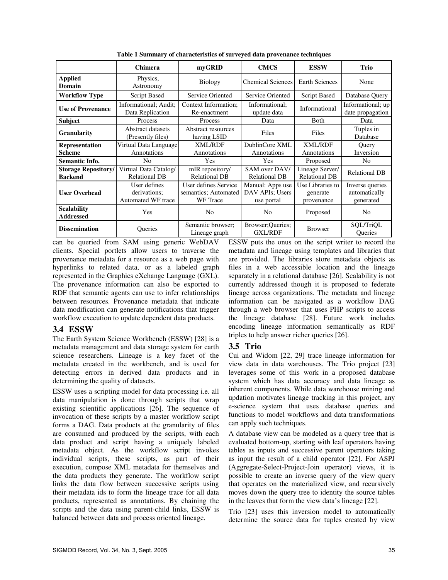|                                              | <b>Chimera</b>                                            | myGRID                                                          | <b>CMCS</b>                                       | <b>ESSW</b>                                | Trio                                          |
|----------------------------------------------|-----------------------------------------------------------|-----------------------------------------------------------------|---------------------------------------------------|--------------------------------------------|-----------------------------------------------|
| <b>Applied</b><br>Domain                     | Physics,<br>Astronomy                                     | <b>Biology</b>                                                  | <b>Chemical Sciences</b>                          | <b>Earth Sciences</b>                      | None                                          |
| <b>Workflow Type</b>                         | <b>Script Based</b>                                       | Service Oriented                                                | Service Oriented                                  | Script Based                               | Database Query                                |
| <b>Use of Provenance</b>                     | Informational; Audit;<br>Data Replication                 | Context Information:<br>Re-enactment                            | Informational:<br>update data                     | Informational                              | Informational; up<br>date propagation         |
| <b>Subject</b>                               | Process                                                   | Process                                                         | Data                                              | <b>B</b> oth                               | Data                                          |
| <b>Granularity</b>                           | Abstract datasets<br>(Presently files)                    | Abstract resources<br>having LSID                               | Files                                             | Files                                      | Tuples in<br>Database                         |
| <b>Representation</b><br><b>Scheme</b>       | Virtual Data Language<br>Annotations                      | <b>XML/RDF</b><br>Annotations                                   | DublinCore XML<br>Annotations                     | <b>XML/RDF</b><br>Annotations              | Query<br>Inversion                            |
| <b>Semantic Info.</b>                        | No                                                        | Yes                                                             | Yes                                               | Proposed                                   | N <sub>0</sub>                                |
| <b>Storage Repository/</b><br><b>Backend</b> | Virtual Data Catalog/<br><b>Relational DB</b>             | mIR repository/<br><b>Relational DB</b>                         | SAM over DAV/<br><b>Relational DB</b>             | Lineage Server/<br><b>Relational DB</b>    | <b>Relational DB</b>                          |
| <b>User Overhead</b>                         | User defines<br>derivations;<br><b>Automated WF trace</b> | User defines Service<br>semantics; Automated<br><b>WF</b> Trace | Manual: Apps use<br>DAV APIs; Users<br>use portal | Use Libraries to<br>generate<br>provenance | Inverse queries<br>automatically<br>generated |
| <b>Scalability</b><br><b>Addressed</b>       | Yes                                                       | N <sub>0</sub>                                                  | N <sub>o</sub>                                    | Proposed                                   | N <sub>o</sub>                                |
| <b>Dissemination</b>                         | Queries                                                   | Semantic browser;<br>Lineage graph                              | Browser; Queries;<br><b>GXL/RDF</b>               | <b>Browser</b>                             | SQL/TriQL<br><b>Oueries</b>                   |

**Table 1 Summary of characteristics of surveyed data provenance techniques**

can be queried from SAM using generic WebDAV clients. Special portlets allow users to traverse the provenance metadata for a resource as a web page with hyperlinks to related data, or as a labeled graph represented in the Graphics eXchange Language (GXL). The provenance information can also be exported to RDF that semantic agents can use to infer relationships between resources. Provenance metadata that indicate data modification can generate notifications that trigger workflow execution to update dependent data products.

## **3.4 ESSW**

The Earth System Science Workbench (ESSW) [28] is a metadata management and data storage system for earth science researchers. Lineage is a key facet of the metadata created in the workbench, and is used for detecting errors in derived data products and in determining the quality of datasets.

ESSW uses a scripting model for data processing i.e. all data manipulation is done through scripts that wrap existing scientific applications [26]. The sequence of invocation of these scripts by a master workflow script forms a DAG. Data products at the granularity of files are consumed and produced by the scripts, with each data product and script having a uniquely labeled metadata object. As the workflow script invokes individual scripts, these scripts, as part of their execution, compose XML metadata for themselves and the data products they generate. The workflow script links the data flow between successive scripts using their metadata ids to form the lineage trace for all data products, represented as annotations. By chaining the scripts and the data using parent-child links, ESSW is balanced between data and process oriented lineage.

ESSW puts the onus on the script writer to record the metadata and lineage using templates and libraries that are provided. The libraries store metadata objects as files in a web accessible location and the lineage separately in a relational database [26]. Scalability is not currently addressed though it is proposed to federate lineage across organizations. The metadata and lineage information can be navigated as a workflow DAG through a web browser that uses PHP scripts to access the lineage database [28]. Future work includes encoding lineage information semantically as RDF triples to help answer richer queries [26].

## **3.5 Trio**

Cui and Widom [22, 29] trace lineage information for view data in data warehouses. The Trio project [23] leverages some of this work in a proposed database system which has data accuracy and data lineage as inherent components. While data warehouse mining and updation motivates lineage tracking in this project, any e-science system that uses database queries and functions to model workflows and data transformations can apply such techniques.

A database view can be modeled as a query tree that is evaluated bottom-up, starting with leaf operators having tables as inputs and successive parent operators taking as input the result of a child operator [22]. For ASPJ (Aggregate-Select-Project-Join operator) views, it is possible to create an inverse query of the view query that operates on the materialized view, and recursively moves down the query tree to identity the source tables in the leaves that form the view data's lineage [22].

Trio [23] uses this inversion model to automatically determine the source data for tuples created by view